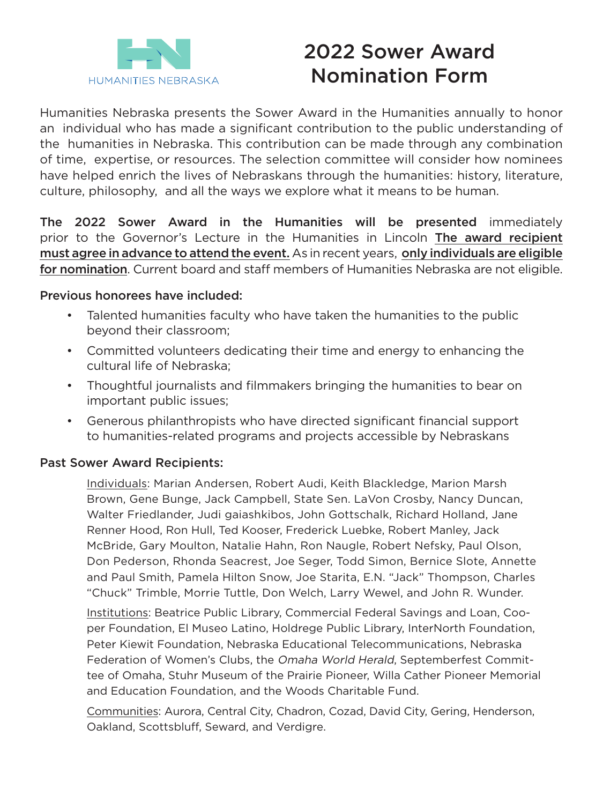

# 2022 Sower Award Nomination Form

Humanities Nebraska presents the Sower Award in the Humanities annually to honor an individual who has made a significant contribution to the public understanding of the humanities in Nebraska. This contribution can be made through any combination of time, expertise, or resources. The selection committee will consider how nominees have helped enrich the lives of Nebraskans through the humanities: history, literature, culture, philosophy, and all the ways we explore what it means to be human.

The 2022 Sower Award in the Humanities will be presented immediately prior to the Governor's Lecture in the Humanities in Lincoln The award recipient must agree in advance to attend the event. As in recent years, only individuals are eligible for nomination. Current board and staff members of Humanities Nebraska are not eligible.

## Previous honorees have included:

- Talented humanities faculty who have taken the humanities to the public beyond their classroom;
- Committed volunteers dedicating their time and energy to enhancing the cultural life of Nebraska;
- Thoughtful journalists and filmmakers bringing the humanities to bear on important public issues;
- Generous philanthropists who have directed significant financial support to humanities-related programs and projects accessible by Nebraskans

## Past Sower Award Recipients:

Individuals: Marian Andersen, Robert Audi, Keith Blackledge, Marion Marsh Brown, Gene Bunge, Jack Campbell, State Sen. LaVon Crosby, Nancy Duncan, Walter Friedlander, Judi gaiashkibos, John Gottschalk, Richard Holland, Jane Renner Hood, Ron Hull, Ted Kooser, Frederick Luebke, Robert Manley, Jack McBride, Gary Moulton, Natalie Hahn, Ron Naugle, Robert Nefsky, Paul Olson, Don Pederson, Rhonda Seacrest, Joe Seger, Todd Simon, Bernice Slote, Annette and Paul Smith, Pamela Hilton Snow, Joe Starita, E.N. "Jack" Thompson, Charles "Chuck" Trimble, Morrie Tuttle, Don Welch, Larry Wewel, and John R. Wunder.

Institutions: Beatrice Public Library, Commercial Federal Savings and Loan, Cooper Foundation, El Museo Latino, Holdrege Public Library, InterNorth Foundation, Peter Kiewit Foundation, Nebraska Educational Telecommunications, Nebraska Federation of Women's Clubs, the Omaha World Herald, Septemberfest Committee of Omaha, Stuhr Museum of the Prairie Pioneer, Willa Cather Pioneer Memorial and Education Foundation, and the Woods Charitable Fund.

Communities: Aurora, Central City, Chadron, Cozad, David City, Gering, Henderson, Oakland, Scottsbluff, Seward, and Verdigre.